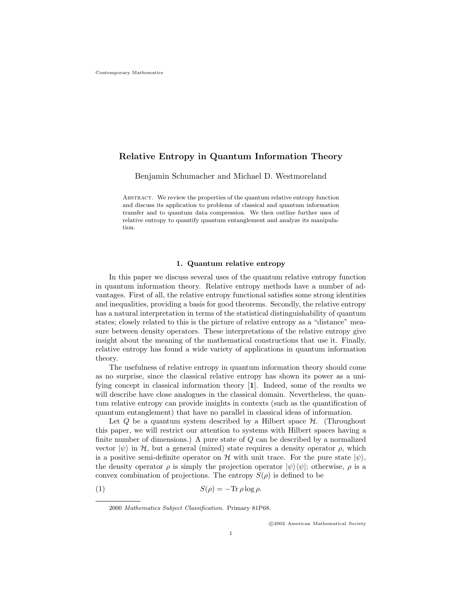# Relative Entropy in Quantum Information Theory

Benjamin Schumacher and Michael D. Westmoreland

ABSTRACT. We review the properties of the quantum relative entropy function and discuss its application to problems of classical and quantum information transfer and to quantum data compression. We then outline further uses of relative entropy to quantify quantum entanglement and analyze its manipulation.

### 1. Quantum relative entropy

In this paper we discuss several uses of the quantum relative entropy function in quantum information theory. Relative entropy methods have a number of advantages. First of all, the relative entropy functional satisfies some strong identities and inequalities, providing a basis for good theorems. Secondly, the relative entropy has a natural interpretation in terms of the statistical distinguishability of quantum states; closely related to this is the picture of relative entropy as a "distance" measure between density operators. These interpretations of the relative entropy give insight about the meaning of the mathematical constructions that use it. Finally, relative entropy has found a wide variety of applications in quantum information theory.

The usefulness of relative entropy in quantum information theory should come as no surprise, since the classical relative entropy has shown its power as a unifying concept in classical information theory [1]. Indeed, some of the results we will describe have close analogues in the classical domain. Nevertheless, the quantum relative entropy can provide insights in contexts (such as the quantification of quantum entanglement) that have no parallel in classical ideas of information.

Let  $Q$  be a quantum system described by a Hilbert space  $H$ . (Throughout this paper, we will restrict our attention to systems with Hilbert spaces having a finite number of dimensions.) A pure state of Q can be described by a normalized vector  $|\psi\rangle$  in H, but a general (mixed) state requires a density operator  $\rho$ , which is a positive semi-definite operator on H with unit trace. For the pure state  $|\psi\rangle$ , the density operator  $\rho$  is simply the projection operator  $|\psi\rangle\langle\psi|$ ; otherwise,  $\rho$  is a convex combination of projections. The entropy  $S(\rho)$  is defined to be

(1) 
$$
S(\rho) = -\text{Tr}\,\rho\log\rho.
$$

c 2002 American Mathematical Society

<sup>2000</sup> Mathematics Subject Classification. Primary 81P68.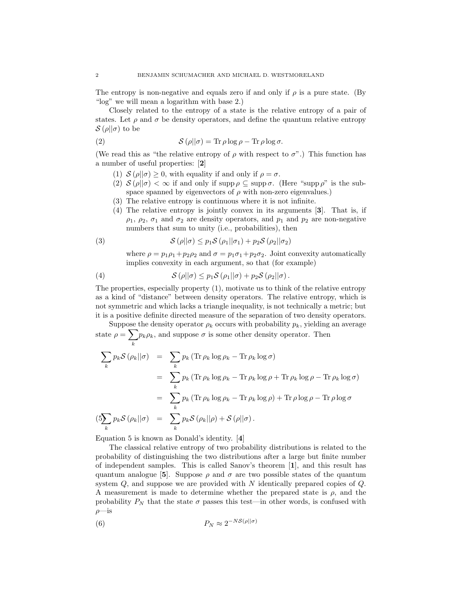The entropy is non-negative and equals zero if and only if  $\rho$  is a pure state. (By "log" we will mean a logarithm with base 2.)

Closely related to the entropy of a state is the relative entropy of a pair of states. Let  $\rho$  and  $\sigma$  be density operators, and define the quantum relative entropy  $\mathcal{S}(\rho||\sigma)$  to be

(2) 
$$
\mathcal{S}(\rho||\sigma) = \text{Tr}\,\rho\log\rho - \text{Tr}\,\rho\log\sigma.
$$

(We read this as "the relative entropy of  $\rho$  with respect to  $\sigma$ ".) This function has a number of useful properties: [2]

- (1)  $S(\rho||\sigma) \geq 0$ , with equality if and only if  $\rho = \sigma$ .
- (2)  $S(\rho||\sigma) < \infty$  if and only if supp  $\rho \subseteq \text{supp }\sigma$ . (Here "supp  $\rho$ " is the subspace spanned by eigenvectors of  $\rho$  with non-zero eigenvalues.)
- (3) The relative entropy is continuous where it is not infinite.
- (4) The relative entropy is jointly convex in its arguments [3]. That is, if  $\rho_1$ ,  $\rho_2$ ,  $\sigma_1$  and  $\sigma_2$  are density operators, and  $p_1$  and  $p_2$  are non-negative numbers that sum to unity (i.e., probabilities), then

(3) 
$$
\mathcal{S}(\rho||\sigma) \leq p_1 \mathcal{S}(\rho_1||\sigma_1) + p_2 \mathcal{S}(\rho_2||\sigma_2)
$$

where  $\rho = p_1 \rho_1 + p_2 \rho_2$  and  $\sigma = p_1 \sigma_1 + p_2 \sigma_2$ . Joint convexity automatically implies convexity in each argument, so that (for example)

(4) 
$$
\mathcal{S}(\rho||\sigma) \leq p_1 \mathcal{S}(\rho_1||\sigma) + p_2 \mathcal{S}(\rho_2||\sigma).
$$

The properties, especially property (1), motivate us to think of the relative entropy as a kind of "distance" between density operators. The relative entropy, which is not symmetric and which lacks a triangle inequality, is not technically a metric; but it is a positive definite directed measure of the separation of two density operators.

Suppose the density operator  $\rho_k$  occurs with probability  $p_k$ , yielding an average state  $\rho = \sum_{k} p_k \rho_k$ , and suppose  $\sigma$  is some other density operator. Then k

$$
\sum_{k} p_{k} \mathcal{S} \left( \rho_{k} || \sigma \right) = \sum_{k} p_{k} \left( \text{Tr} \, \rho_{k} \log \rho_{k} - \text{Tr} \, \rho_{k} \log \sigma \right)
$$
\n
$$
= \sum_{k} p_{k} \left( \text{Tr} \, \rho_{k} \log \rho_{k} - \text{Tr} \, \rho_{k} \log \rho + \text{Tr} \, \rho_{k} \log \rho - \text{Tr} \, \rho_{k} \log \sigma \right)
$$
\n
$$
= \sum_{k} p_{k} \left( \text{Tr} \, \rho_{k} \log \rho_{k} - \text{Tr} \, \rho_{k} \log \rho \right) + \text{Tr} \, \rho \log \rho - \text{Tr} \, \rho \log \sigma
$$
\n
$$
(5\sum_{k} p_{k} \mathcal{S} \left( \rho_{k} || \sigma \right) = \sum_{k} p_{k} \mathcal{S} \left( \rho_{k} || \rho \right) + \mathcal{S} \left( \rho || \sigma \right).
$$

Equation 5 is known as Donald's identity. [4]

The classical relative entropy of two probability distributions is related to the probability of distinguishing the two distributions after a large but finite number of independent samples. This is called Sanov's theorem [1], and this result has quantum analogue [5]. Suppose  $\rho$  and  $\sigma$  are two possible states of the quantum system  $Q$ , and suppose we are provided with N identically prepared copies of  $Q$ . A measurement is made to determine whether the prepared state is  $\rho$ , and the probability  $P_N$  that the state  $\sigma$  passes this test—in other words, is confused with  $\rho$ —is

(6) 
$$
P_N \approx 2^{-NS(\rho||\sigma)}
$$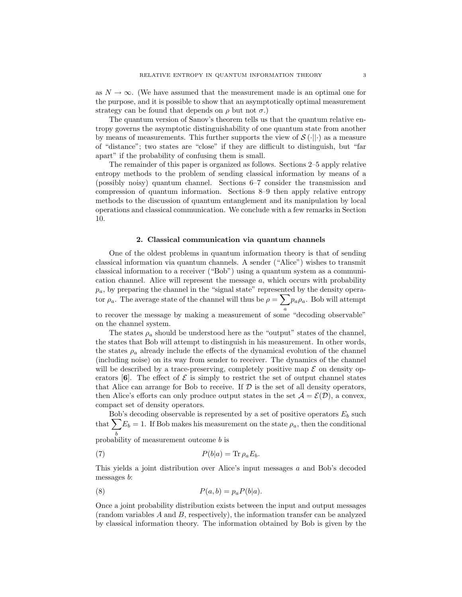as  $N \to \infty$ . (We have assumed that the measurement made is an optimal one for the purpose, and it is possible to show that an asymptotically optimal measurement strategy can be found that depends on  $\rho$  but not  $\sigma$ .)

The quantum version of Sanov's theorem tells us that the quantum relative entropy governs the asymptotic distinguishability of one quantum state from another by means of measurements. This further supports the view of  $\mathcal{S}(\cdot||\cdot)$  as a measure of "distance"; two states are "close" if they are difficult to distinguish, but "far apart" if the probability of confusing them is small.

The remainder of this paper is organized as follows. Sections 2–5 apply relative entropy methods to the problem of sending classical information by means of a (possibly noisy) quantum channel. Sections 6–7 consider the transmission and compression of quantum information. Sections 8–9 then apply relative entropy methods to the discussion of quantum entanglement and its manipulation by local operations and classical communication. We conclude with a few remarks in Section 10.

### 2. Classical communication via quantum channels

One of the oldest problems in quantum information theory is that of sending classical information via quantum channels. A sender ("Alice") wishes to transmit classical information to a receiver ("Bob") using a quantum system as a communication channel. Alice will represent the message  $a$ , which occurs with probability  $p_a$ , by preparing the channel in the "signal state" represented by the density operator  $\rho_a$ . The average state of the channel will thus be  $\rho = \sum p_a \rho_a$ . Bob will attempt

to recover the message by making a measurement of some "decoding observable" on the channel system.

The states  $\rho_a$  should be understood here as the "output" states of the channel, the states that Bob will attempt to distinguish in his measurement. In other words, the states  $\rho_a$  already include the effects of the dynamical evolution of the channel (including noise) on its way from sender to receiver. The dynamics of the channel will be described by a trace-preserving, completely positive map  $\mathcal E$  on density operators  $[6]$ . The effect of  $\mathcal E$  is simply to restrict the set of output channel states that Alice can arrange for Bob to receive. If  $\mathcal D$  is the set of all density operators, then Alice's efforts can only produce output states in the set  $A = \mathcal{E}(\mathcal{D})$ , a convex, compact set of density operators.

Bob's decoding observable is represented by a set of positive operators  $E_b$  such that  $\sum E_b = 1$ . If Bob makes his measurement on the state  $\rho_a$ , then the conditional

 $\stackrel{b}{\text{probability}}$  of measurement outcome *b* is

(7) 
$$
P(b|a) = \text{Tr}\,\rho_a E_b.
$$

This yields a joint distribution over Alice's input messages a and Bob's decoded messages b:

(8) 
$$
P(a,b) = p_a P(b|a).
$$

Once a joint probability distribution exists between the input and output messages (random variables A and B, respectively), the information transfer can be analyzed by classical information theory. The information obtained by Bob is given by the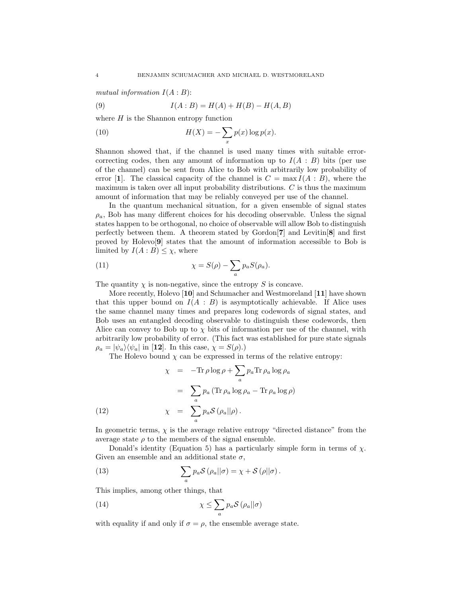mutual information  $I(A:B)$ :

(9) 
$$
I(A:B) = H(A) + H(B) - H(A,B)
$$

where  $H$  is the Shannon entropy function

(10) 
$$
H(X) = -\sum_{x} p(x) \log p(x).
$$

Shannon showed that, if the channel is used many times with suitable errorcorrecting codes, then any amount of information up to  $I(A : B)$  bits (per use of the channel) can be sent from Alice to Bob with arbitrarily low probability of error [1]. The classical capacity of the channel is  $C = \max I(A : B)$ , where the maximum is taken over all input probability distributions.  $C$  is thus the maximum amount of information that may be reliably conveyed per use of the channel.

In the quantum mechanical situation, for a given ensemble of signal states  $\rho_a$ , Bob has many different choices for his decoding observable. Unless the signal states happen to be orthogonal, no choice of observable will allow Bob to distinguish perfectly between them. A theorem stated by Gordon[7] and Levitin[8] and first proved by Holevo[9] states that the amount of information accessible to Bob is limited by  $I(A:B) \leq \chi$ , where

(11) 
$$
\chi = S(\rho) - \sum_{a} p_a S(\rho_a).
$$

The quantity  $\chi$  is non-negative, since the entropy S is concave.

More recently, Holevo [10] and Schumacher and Westmoreland [11] have shown that this upper bound on  $I(A : B)$  is asymptotically achievable. If Alice uses the same channel many times and prepares long codewords of signal states, and Bob uses an entangled decoding observable to distinguish these codewords, then Alice can convey to Bob up to  $\chi$  bits of information per use of the channel, with arbitrarily low probability of error. (This fact was established for pure state signals  $\rho_a = |\psi_a\rangle\langle\psi_a|$  in [12]. In this case,  $\chi = S(\rho)$ .)

The Holevo bound  $\chi$  can be expressed in terms of the relative entropy:

(12)  
\n
$$
\chi = -\text{Tr}\,\rho \log \rho + \sum_{a} p_a \text{Tr}\,\rho_a \log \rho_a
$$
\n
$$
= \sum_{a} p_a \left( \text{Tr}\,\rho_a \log \rho_a - \text{Tr}\,\rho_a \log \rho \right)
$$
\n
$$
\chi = \sum_{a} p_a \mathcal{S}\left(\rho_a || \rho\right).
$$

In geometric terms,  $\chi$  is the average relative entropy "directed distance" from the average state  $\rho$  to the members of the signal ensemble.

Donald's identity (Equation 5) has a particularly simple form in terms of  $\chi$ . Given an ensemble and an additional state  $\sigma$ ,

(13) 
$$
\sum_{a} p_a \mathcal{S}(\rho_a || \sigma) = \chi + \mathcal{S}(\rho || \sigma).
$$

This implies, among other things, that

(14) 
$$
\chi \leq \sum_{a} p_a \mathcal{S}(\rho_a || \sigma)
$$

with equality if and only if  $\sigma = \rho$ , the ensemble average state.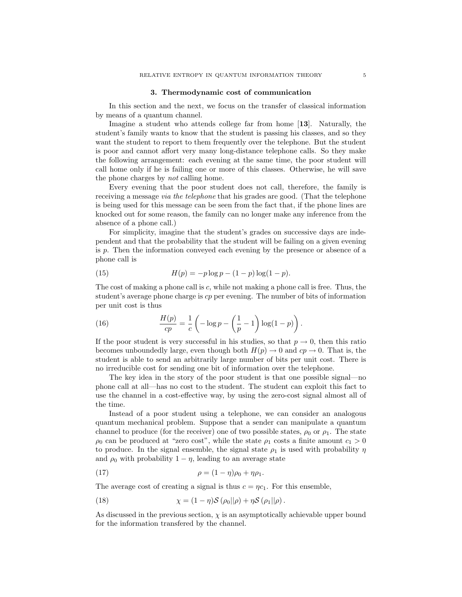#### 3. Thermodynamic cost of communication

In this section and the next, we focus on the transfer of classical information by means of a quantum channel.

Imagine a student who attends college far from home [13]. Naturally, the student's family wants to know that the student is passing his classes, and so they want the student to report to them frequently over the telephone. But the student is poor and cannot affort very many long-distance telephone calls. So they make the following arrangement: each evening at the same time, the poor student will call home only if he is failing one or more of this classes. Otherwise, he will save the phone charges by not calling home.

Every evening that the poor student does not call, therefore, the family is receiving a message via the telephone that his grades are good. (That the telephone is being used for this message can be seen from the fact that, if the phone lines are knocked out for some reason, the family can no longer make any inference from the absence of a phone call.)

For simplicity, imagine that the student's grades on successive days are independent and that the probability that the student will be failing on a given evening is p. Then the information conveyed each evening by the presence or absence of a phone call is

(15) 
$$
H(p) = -p \log p - (1 - p) \log(1 - p).
$$

The cost of making a phone call is c, while not making a phone call is free. Thus, the student's average phone charge is cp per evening. The number of bits of information per unit cost is thus

(16) 
$$
\frac{H(p)}{cp} = \frac{1}{c} \left( -\log p - \left( \frac{1}{p} - 1 \right) \log(1 - p) \right).
$$

If the poor student is very successful in his studies, so that  $p \to 0$ , then this ratio becomes unboundedly large, even though both  $H(p) \to 0$  and  $cp \to 0$ . That is, the student is able to send an arbitrarily large number of bits per unit cost. There is no irreducible cost for sending one bit of information over the telephone.

The key idea in the story of the poor student is that one possible signal—no phone call at all—has no cost to the student. The student can exploit this fact to use the channel in a cost-effective way, by using the zero-cost signal almost all of the time.

Instead of a poor student using a telephone, we can consider an analogous quantum mechanical problem. Suppose that a sender can manipulate a quantum channel to produce (for the receiver) one of two possible states,  $\rho_0$  or  $\rho_1$ . The state  $\rho_0$  can be produced at "zero cost", while the state  $\rho_1$  costs a finite amount  $c_1 > 0$ to produce. In the signal ensemble, the signal state  $\rho_1$  is used with probability  $\eta$ and  $\rho_0$  with probability  $1 - \eta$ , leading to an average state

(17) 
$$
\rho = (1 - \eta)\rho_0 + \eta \rho_1.
$$

The average cost of creating a signal is thus  $c = \eta c_1$ . For this ensemble,

(18) 
$$
\chi = (1 - \eta)S(\rho_0||\rho) + \eta S(\rho_1||\rho).
$$

As discussed in the previous section,  $\chi$  is an asymptotically achievable upper bound for the information transfered by the channel.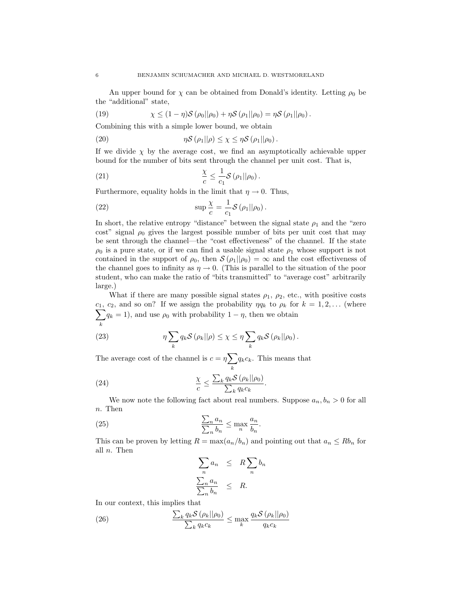An upper bound for  $\chi$  can be obtained from Donald's identity. Letting  $\rho_0$  be the "additional" state,

(19) 
$$
\chi \leq (1 - \eta)S(\rho_0||\rho_0) + \eta S(\rho_1||\rho_0) = \eta S(\rho_1||\rho_0).
$$

Combining this with a simple lower bound, we obtain

(20) 
$$
\eta S(\rho_1||\rho) \leq \chi \leq \eta S(\rho_1||\rho_0).
$$

If we divide  $\chi$  by the average cost, we find an asymptotically achievable upper bound for the number of bits sent through the channel per unit cost. That is,

(21) 
$$
\frac{\chi}{c} \leq \frac{1}{c_1} \mathcal{S}(\rho_1 || \rho_0).
$$

Furthermore, equality holds in the limit that  $\eta \to 0$ . Thus,

(22) 
$$
\sup \frac{\chi}{c} = \frac{1}{c_1} \mathcal{S} \left( \rho_1 || \rho_0 \right).
$$

In short, the relative entropy "distance" between the signal state  $\rho_1$  and the "zero cost" signal  $\rho_0$  gives the largest possible number of bits per unit cost that may be sent through the channel—the "cost effectiveness" of the channel. If the state  $\rho_0$  is a pure state, or if we can find a usable signal state  $\rho_1$  whose support is not contained in the support of  $\rho_0$ , then  $\mathcal{S}(\rho_1||\rho_0) = \infty$  and the cost effectiveness of the channel goes to infinity as  $\eta \to 0$ . (This is parallel to the situation of the poor student, who can make the ratio of "bits transmitted" to "average cost" arbitrarily large.)

What if there are many possible signal states  $\rho_1$ ,  $\rho_2$ , etc., with positive costs  $\sum$  $c_1, c_2$ , and so on? If we assign the probability  $\eta q_k$  to  $\rho_k$  for  $k = 1, 2, \ldots$  (where k  $q_k = 1$ , and use  $\rho_0$  with probability  $1 - \eta$ , then we obtain

(23) 
$$
\eta \sum_{k} q_{k} \mathcal{S}(\rho_{k} || \rho) \leq \chi \leq \eta \sum_{k} q_{k} \mathcal{S}(\rho_{k} || \rho_{0}).
$$

The average cost of the channel is  $c = \eta \sum$ k  $q_kc_k$ . This means that

(24) 
$$
\frac{\chi}{c} \leq \frac{\sum_{k} q_{k} \mathcal{S}(\rho_{k} || \rho_{0})}{\sum_{k} q_{k} c_{k}}.
$$

We now note the following fact about real numbers. Suppose  $a_n, b_n > 0$  for all n. Then

(25) 
$$
\frac{\sum_{n} a_n}{\sum_{n} b_n} \le \max_{n} \frac{a_n}{b_n}.
$$

This can be proven by letting  $R = \max(a_n/b_n)$  and pointing out that  $a_n \le Rb_n$  for all n. Then

$$
\sum_{n} a_n \leq R \sum_{n} b_n
$$
  

$$
\frac{\sum_{n} a_n}{\sum_{n} b_n} \leq R.
$$

In our context, this implies that

(26) 
$$
\frac{\sum_{k} q_{k} \mathcal{S}\left(\rho_{k}||\rho_{0}\right)}{\sum_{k} q_{k} c_{k}} \leq \max_{k} \frac{q_{k} \mathcal{S}\left(\rho_{k}||\rho_{0}\right)}{q_{k} c_{k}}
$$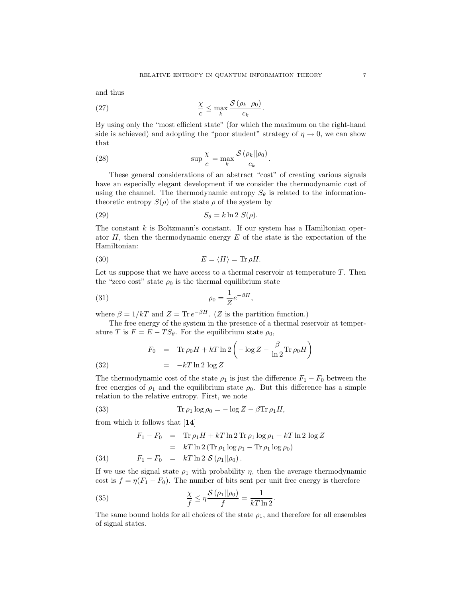and thus

(27) 
$$
\frac{\chi}{c} \leq \max_{k} \frac{\mathcal{S}\left(\rho_k || \rho_0\right)}{c_k}
$$

By using only the "most efficient state" (for which the maximum on the right-hand side is achieved) and adopting the "poor student" strategy of  $\eta \rightarrow 0$ , we can show that

.

(28) 
$$
\sup \frac{\chi}{c} = \max_{k} \frac{\mathcal{S}(\rho_k || \rho_0)}{c_k}.
$$

These general considerations of an abstract "cost" of creating various signals have an especially elegant development if we consider the thermodynamic cost of using the channel. The thermodynamic entropy  $S_{\theta}$  is related to the informationtheoretic entropy  $S(\rho)$  of the state  $\rho$  of the system by

$$
(29) \t\t S_{\theta} = k \ln 2 S(\rho).
$$

The constant  $k$  is Boltzmann's constant. If our system has a Hamiltonian operator  $H$ , then the thermodynamic energy  $E$  of the state is the expectation of the Hamiltonian:

(30) 
$$
E = \langle H \rangle = \text{Tr} \, \rho H.
$$

Let us suppose that we have access to a thermal reservoir at temperature  $T$ . Then the "zero cost" state  $\rho_0$  is the thermal equilibrium state

$$
\rho_0 = \frac{1}{Z} e^{-\beta H},
$$

where  $\beta = 1/kT$  and  $Z = \text{Tr } e^{-\beta H}$ . (Z is the partition function.)

The free energy of the system in the presence of a thermal reservoir at temperature T is  $F = E - TS_{\theta}$ . For the equilibrium state  $\rho_0$ ,

(32) 
$$
F_0 = \text{Tr}\,\rho_0 H + kT \ln 2 \left( -\log Z - \frac{\beta}{\ln 2} \text{Tr}\,\rho_0 H \right)
$$

$$
= -kT \ln 2 \log Z
$$

The thermodynamic cost of the state  $\rho_1$  is just the difference  $F_1 - F_0$  between the free energies of  $\rho_1$  and the equilibrium state  $\rho_0$ . But this difference has a simple relation to the relative entropy. First, we note

(33) 
$$
\operatorname{Tr} \rho_1 \log \rho_0 = -\log Z - \beta \operatorname{Tr} \rho_1 H,
$$

from which it follows that [14]

(34) 
$$
F_1 - F_0 = \text{Tr} \rho_1 H + kT \ln 2 \text{Tr} \rho_1 \log \rho_1 + kT \ln 2 \log Z
$$

$$
= kT \ln 2 (\text{Tr} \rho_1 \log \rho_1 - \text{Tr} \rho_1 \log \rho_0)
$$

$$
F_1 - F_0 = kT \ln 2 \mathcal{S} (\rho_1 || \rho_0).
$$

If we use the signal state  $\rho_1$  with probability  $\eta$ , then the average thermodynamic cost is  $f = \eta(F_1 - F_0)$ . The number of bits sent per unit free energy is therefore

(35) 
$$
\frac{\chi}{f} \leq \eta \frac{\mathcal{S}\left(\rho_1||\rho_0\right)}{f} = \frac{1}{kT\ln 2}.
$$

The same bound holds for all choices of the state  $\rho_1$ , and therefore for all ensembles of signal states.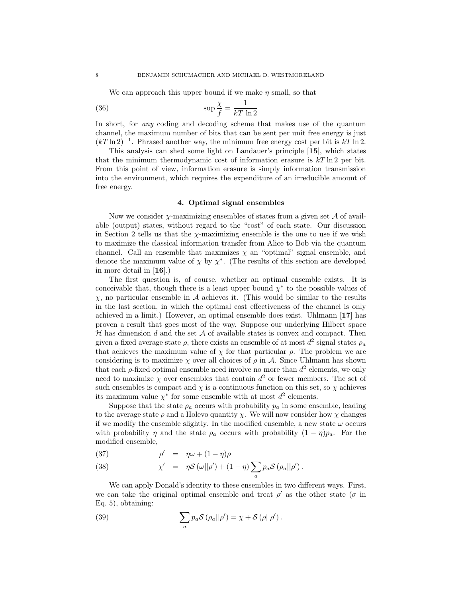We can approach this upper bound if we make  $\eta$  small, so that

(36) 
$$
\sup \frac{\chi}{f} = \frac{1}{kT \ln 2}
$$

In short, for any coding and decoding scheme that makes use of the quantum channel, the maximum number of bits that can be sent per unit free energy is just  $(kT \ln 2)^{-1}$ . Phrased another way, the minimum free energy cost per bit is  $kT \ln 2$ .

This analysis can shed some light on Landauer's principle [15], which states that the minimum thermodynamic cost of information erasure is  $kT \ln 2$  per bit. From this point of view, information erasure is simply information transmission into the environment, which requires the expenditure of an irreducible amount of free energy.

## 4. Optimal signal ensembles

Now we consider  $\chi$ -maximizing ensembles of states from a given set  $\mathcal A$  of available (output) states, without regard to the "cost" of each state. Our discussion in Section 2 tells us that the  $\chi$ -maximizing ensemble is the one to use if we wish to maximize the classical information transfer from Alice to Bob via the quantum channel. Call an ensemble that maximizes  $\chi$  an "optimal" signal ensemble, and denote the maximum value of  $\chi$  by  $\chi^*$ . (The results of this section are developed in more detail in [16].)

The first question is, of course, whether an optimal ensemble exists. It is conceivable that, though there is a least upper bound  $\chi^*$  to the possible values of  $\chi$ , no particular ensemble in A achieves it. (This would be similar to the results in the last section, in which the optimal cost effectiveness of the channel is only achieved in a limit.) However, an optimal ensemble does exist. Uhlmann [17] has proven a result that goes most of the way. Suppose our underlying Hilbert space  $H$  has dimension d and the set  $A$  of available states is convex and compact. Then given a fixed average state  $\rho$ , there exists an ensemble of at most  $d^2$  signal states  $\rho_a$ that achieves the maximum value of  $\chi$  for that particular  $\rho$ . The problem we are considering is to maximize  $\chi$  over all choices of  $\rho$  in A. Since Uhlmann has shown that each  $\rho$ -fixed optimal ensemble need involve no more than  $d^2$  elements, we only need to maximize  $\chi$  over ensembles that contain  $d^2$  or fewer members. The set of such ensembles is compact and  $\chi$  is a continuous function on this set, so  $\chi$  achieves its maximum value  $\chi^*$  for some ensemble with at most  $d^2$  elements.

Suppose that the state  $\rho_a$  occurs with probability  $p_a$  in some ensemble, leading to the average state  $\rho$  and a Holevo quantity  $\chi$ . We will now consider how  $\chi$  changes if we modify the ensemble slightly. In the modified ensemble, a new state  $\omega$  occurs with probability  $\eta$  and the state  $\rho_a$  occurs with probability  $(1 - \eta)p_a$ . For the modified ensemble,

(37) 
$$
\rho' = \eta \omega + (1 - \eta) \rho
$$

(38) 
$$
\chi' = \eta S(\omega||\rho') + (1-\eta) \sum_{a} p_a S(\rho_a||\rho').
$$

We can apply Donald's identity to these ensembles in two different ways. First, we can take the original optimal ensemble and treat  $\rho'$  as the other state ( $\sigma$  in Eq. 5), obtaining:

(39) 
$$
\sum_{a} p_a \mathcal{S}(\rho_a || \rho') = \chi + \mathcal{S}(\rho || \rho').
$$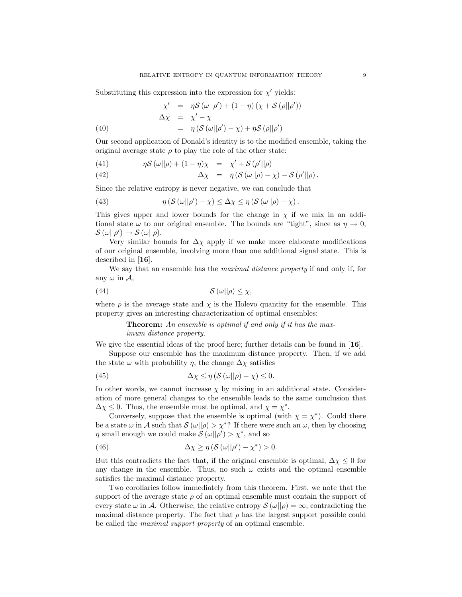Substituting this expression into the expression for  $\chi'$  yields:

(40)  
\n
$$
\chi' = \eta S(\omega||\rho') + (1 - \eta)(\chi + S(\rho||\rho'))
$$
\n
$$
\Delta \chi = \chi' - \chi
$$
\n
$$
= \eta (S(\omega||\rho') - \chi) + \eta S(\rho||\rho')
$$

Our second application of Donald's identity is to the modified ensemble, taking the original average state  $\rho$  to play the role of the other state:

(41) 
$$
\eta \mathcal{S}(\omega||\rho) + (1-\eta)\chi = \chi' + \mathcal{S}(\rho'||\rho)
$$

(42) 
$$
\Delta \chi = \eta \left( \mathcal{S} \left( \omega || \rho \right) - \chi \right) - \mathcal{S} \left( \rho' || \rho \right).
$$

Since the relative entropy is never negative, we can conclude that

(43) 
$$
\eta \left( \mathcal{S} \left( \omega || \rho' \right) - \chi \right) \leq \Delta \chi \leq \eta \left( \mathcal{S} \left( \omega || \rho \right) - \chi \right).
$$

This gives upper and lower bounds for the change in  $\chi$  if we mix in an additional state  $\omega$  to our original ensemble. The bounds are "tight", since as  $\eta \to 0$ ,  $\mathcal{S}(\omega||\rho') \rightarrow \mathcal{S}(\omega||\rho).$ 

Very similar bounds for  $\Delta \chi$  apply if we make more elaborate modifications of our original ensemble, involving more than one additional signal state. This is described in [16].

We say that an ensemble has the *maximal distance property* if and only if, for any  $\omega$  in  $\mathcal{A}$ ,

$$
(44) \tS(\omega||\rho) \leq \chi,
$$

where  $\rho$  is the average state and  $\chi$  is the Holevo quantity for the ensemble. This property gives an interesting characterization of optimal ensembles:

> **Theorem:** An ensemble is optimal if and only if it has the maximum distance property.

We give the essential ideas of the proof here; further details can be found in [16].

Suppose our ensemble has the maximum distance property. Then, if we add the state  $\omega$  with probability  $\eta$ , the change  $\Delta \chi$  satisfies

(45) 
$$
\Delta \chi \leq \eta \left( \mathcal{S} \left( \omega || \rho \right) - \chi \right) \leq 0.
$$

In other words, we cannot increase  $\chi$  by mixing in an additional state. Consideration of more general changes to the ensemble leads to the same conclusion that  $\Delta \chi \leq 0$ . Thus, the ensemble must be optimal, and  $\chi = \chi^*$ .

Conversely, suppose that the ensemble is optimal (with  $\chi = \chi^*$ ). Could there be a state  $\omega$  in A such that  $\mathcal{S}(\omega||\rho) > \chi^*$ ? If there were such an  $\omega$ , then by choosing  $\eta$  small enough we could make  $\mathcal{S}(\omega||\rho') > \chi^*$ , and so

(46) 
$$
\Delta \chi \geq \eta \left( \mathcal{S} \left( \omega || \rho' \right) - \chi^* \right) > 0.
$$

But this contradicts the fact that, if the original ensemble is optimal,  $\Delta \chi \leq 0$  for any change in the ensemble. Thus, no such  $\omega$  exists and the optimal ensemble satisfies the maximal distance property.

Two corollaries follow immediately from this theorem. First, we note that the support of the average state  $\rho$  of an optimal ensemble must contain the support of every state  $\omega$  in A. Otherwise, the relative entropy  $\mathcal{S}(\omega||\rho) = \infty$ , contradicting the maximal distance property. The fact that  $\rho$  has the largest support possible could be called the maximal support property of an optimal ensemble.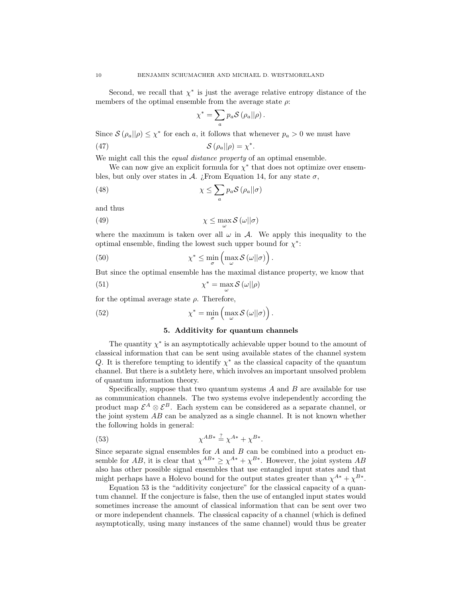Second, we recall that  $\chi^*$  is just the average relative entropy distance of the members of the optimal ensemble from the average state  $\rho$ :

$$
\chi^* = \sum_a p_a \mathcal{S}(\rho_a || \rho).
$$

Since  $\mathcal{S}(\rho_a||\rho) \leq \chi^*$  for each a, it follows that whenever  $p_a > 0$  we must have

(47) 
$$
\mathcal{S}(\rho_a||\rho) = \chi^*.
$$

We might call this the *equal distance property* of an optimal ensemble.

We can now give an explicit formula for  $\chi^*$  that does not optimize over ensembles, but only over states in A. ¿From Equation 14, for any state  $\sigma$ ,

(48) 
$$
\chi \leq \sum_{a} p_a \mathcal{S}(\rho_a || \sigma)
$$

and thus

(49) 
$$
\chi \leq \max_{\omega} \mathcal{S}(\omega||\sigma)
$$

where the maximum is taken over all  $\omega$  in A. We apply this inequality to the optimal ensemble, finding the lowest such upper bound for  $\chi^*$ :

(50) 
$$
\chi^* \leq \min_{\sigma} \left( \max_{\omega} \mathcal{S}(\omega || \sigma) \right).
$$

But since the optimal ensemble has the maximal distance property, we know that

(51) 
$$
\chi^* = \max_{\omega} \mathcal{S}(\omega||\rho)
$$

for the optimal average state  $\rho$ . Therefore,

(52) 
$$
\chi^* = \min_{\sigma} \left( \max_{\omega} \mathcal{S}(\omega || \sigma) \right).
$$

## 5. Additivity for quantum channels

The quantity  $\chi^*$  is an asymptotically achievable upper bound to the amount of classical information that can be sent using available states of the channel system Q. It is therefore tempting to identify  $\chi^*$  as the classical capacity of the quantum channel. But there is a subtlety here, which involves an important unsolved problem of quantum information theory.

Specifically, suppose that two quantum systems  $A$  and  $B$  are available for use as communication channels. The two systems evolve independently according the product map  $\mathcal{E}^A \otimes \mathcal{E}^B$ . Each system can be considered as a separate channel, or the joint system  $\overline{AB}$  can be analyzed as a single channel. It is not known whether the following holds in general:

$$
\chi^{AB*} = \chi^{A*} + \chi^{B*}.
$$

Since separate signal ensembles for  $A$  and  $B$  can be combined into a product ensemble for AB, it is clear that  $\chi^{AB*} \geq \chi^{A*} + \chi^{B*}$ . However, the joint system AB also has other possible signal ensembles that use entangled input states and that might perhaps have a Holevo bound for the output states greater than  $\chi^{A*} + \chi^{B*}$ .

Equation 53 is the "additivity conjecture" for the classical capacity of a quantum channel. If the conjecture is false, then the use of entangled input states would sometimes increase the amount of classical information that can be sent over two or more independent channels. The classical capacity of a channel (which is defined asymptotically, using many instances of the same channel) would thus be greater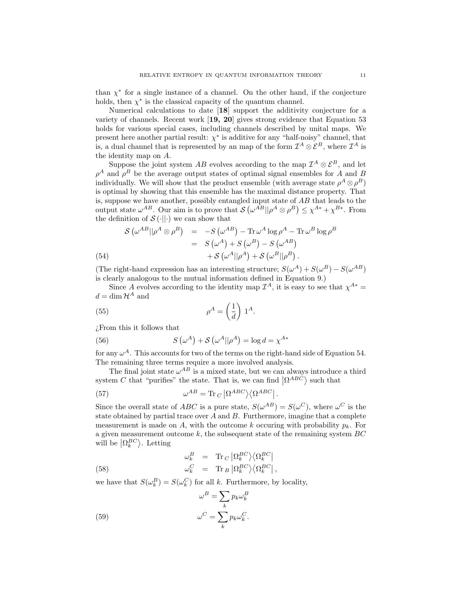than  $\chi^*$  for a single instance of a channel. On the other hand, if the conjecture holds, then  $\chi^*$  is the classical capacity of the quantum channel.

Numerical calculations to date [18] support the additivity conjecture for a variety of channels. Recent work [19, 20] gives strong evidence that Equation 53 holds for various special cases, including channels described by unital maps. We present here another partial result:  $\chi^*$  is additive for any "half-noisy" channel, that is, a dual channel that is represented by an map of the form  $\mathcal{I}^A \otimes \mathcal{E}^B$ , where  $\mathcal{I}^A$  is the identity map on A.

Suppose the joint system AB evolves according to the map  $\mathcal{I}^A \otimes \mathcal{E}^B$ , and let  $\rho^A$  and  $\rho^B$  be the average output states of optimal signal ensembles for A and B individually. We will show that the product ensemble (with average state  $\rho^A \otimes \rho^B$ ) is optimal by showing that this ensemble has the maximal distance property. That is, suppose we have another, possibly entangled input state of AB that leads to the output state  $\omega^{AB}$ . Our aim is to prove that  $\mathcal{S}(\omega^{\hat{A}B}||\rho^A\otimes\rho^B)\leq \chi^{A*}+\chi^{B*}$ . From the definition of  $\mathcal{S}(\cdot||\cdot)$  we can show that

(54)  
\n
$$
\begin{array}{rcl}\n\mathcal{S} \left( \omega^{AB} || \rho^A \otimes \rho^B \right) & = & -S \left( \omega^{AB} \right) - \text{Tr} \, \omega^A \log \rho^A - \text{Tr} \, \omega^B \log \rho^B \\
& = & S \left( \omega^A \right) + S \left( \omega^B \right) - S \left( \omega^{AB} \right) \\
& + S \left( \omega^A || \rho^A \right) + S \left( \omega^B || \rho^B \right).\n\end{array}
$$

(The right-hand expression has an interesting structure;  $S(\omega^A) + S(\omega^B) - S(\omega^{AB})$ ) is clearly analogous to the mutual information defined in Equation 9.)

Since A evolves according to the identity map  $\mathcal{I}^A$ , it is easy to see that  $\chi^{A*} =$  $d = \dim \mathcal{H}^A$  and

(55) 
$$
\rho^A = \left(\frac{1}{d}\right) 1^A.
$$

¿From this it follows that

(56) 
$$
S(\omega^A) + S(\omega^A||\rho^A) = \log d = \chi^{A*}
$$

for any  $\omega^A$ . This accounts for two of the terms on the right-hand side of Equation 54. The remaining three terms require a more involved analysis.

The final joint state  $\omega^{AB}$  is a mixed state, but we can always introduce a third system C that "purifies" the state. That is, we can find  $\left| \Omega^{ABC} \right\rangle$  such that

.

(57) 
$$
\omega^{AB} = \text{Tr}_C \left| \Omega^{ABC} \right\rangle \left\langle \Omega^{ABC} \right|
$$

Since the overall state of ABC is a pure state,  $S(\omega^{AB}) = S(\omega^C)$ , where  $\omega^C$  is the state obtained by partial trace over  $A$  and  $B$ . Furthermore, imagine that a complete measurement is made on A, with the outcome k occuring with probability  $p_k$ . For a given measurement outcome  $k$ , the subsequent state of the remaining system  $BC$ will be  $\left| \Omega_k^{BC} \right\rangle$ . Letting

(58) 
$$
\omega_k^B = \text{Tr}_C \left| \Omega_k^{BC} \right\rangle \left\langle \Omega_k^{BC} \right|
$$

$$
\omega_k^C = \text{Tr}_B \left| \Omega_k^{BC} \right\rangle \left\langle \Omega_k^{BC} \right|,
$$

we have that  $S(\omega_k^B) = S(\omega_k^C)$  for all k. Furthermore, by locality,

(59) 
$$
\omega^{B} = \sum_{k} p_{k} \omega_{k}^{B}
$$

$$
\omega^{C} = \sum_{k} p_{k} \omega_{k}^{C}.
$$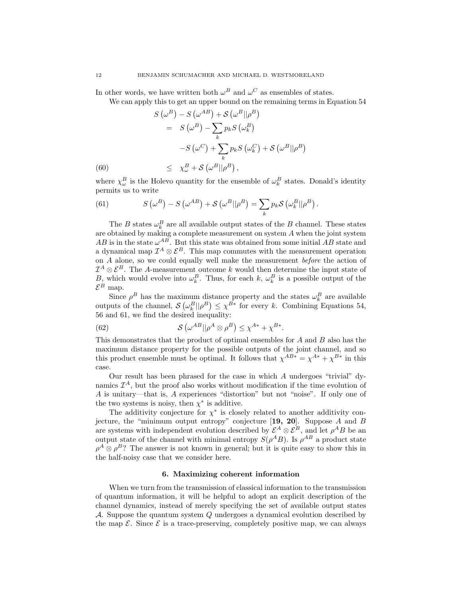In other words, we have written both  $\omega^B$  and  $\omega^C$  as ensembles of states.

We can apply this to get an upper bound on the remaining terms in Equation 54

(60)  
\n
$$
S(\omega^{B}) - S(\omega^{AB}) + S(\omega^{B}||\rho^{B})
$$
\n
$$
= S(\omega^{B}) - \sum_{k} p_{k} S(\omega_{k}^{B})
$$
\n
$$
-S(\omega^{C}) + \sum_{k} p_{k} S(\omega_{k}^{C}) + S(\omega^{B}||\rho^{B})
$$
\n
$$
\leq \chi^{B}_{\omega} + S(\omega^{B}||\rho^{B}),
$$

where  $\chi^B_\omega$  is the Holevo quantity for the ensemble of  $\omega^B_k$  states. Donald's identity permits us to write

(61) 
$$
S(\omega^B) - S(\omega^{AB}) + S(\omega^B||\rho^B) = \sum_k p_k S(\omega_k^B||\rho^B).
$$

The B states  $\omega_k^B$  are all available output states of the B channel. These states are obtained by making a complete measurement on system  $A$  when the joint system  $AB$  is in the state  $\omega^{AB}$ . But this state was obtained from some initial AB state and a dynamical map  $\mathcal{I}^A \otimes \mathcal{E}^B$ . This map commutes with the measurement operation on A alone, so we could equally well make the measurement before the action of  $\mathcal{I}^A\otimes \mathcal{E}^B$ . The A-measurement outcome k would then determine the input state of B, which would evolve into  $\omega_k^B$ . Thus, for each k,  $\omega_k^B$  is a possible output of the  $\mathcal{E}^B$  map.

Since  $\rho^B$  has the maximum distance property and the states  $\omega_k^B$  are available outputs of the channel,  $\mathcal{S}(\omega_k^B||\rho^B) \leq \chi^{B*}$  for every k. Combining Equations 54, 56 and 61, we find the desired inequality:

(62) 
$$
\mathcal{S}(\omega^{AB}||\rho^A \otimes \rho^B) \leq \chi^{A*} + \chi^{B*}.
$$

This demonstrates that the product of optimal ensembles for A and B also has the maximum distance property for the possible outputs of the joint channel, and so this product ensemble must be optimal. It follows that  $\chi^{AB*} = \chi^{A*} + \chi^{B*}$  in this case.

Our result has been phrased for the case in which A undergoes "trivial" dynamics  $\mathcal{I}^A$ , but the proof also works without modification if the time evolution of A is unitary—that is, A experiences "distortion" but not "noise". If only one of the two systems is noisy, then  $\chi^*$  is additive.

The additivity conjecture for  $\chi^*$  is closely related to another additivity conjecture, the "minimum output entropy" conjecture [19, 20]. Suppose A and B are systems with independent evolution described by  $\mathcal{E}^A \otimes \mathcal{E}^B$ , and let  $\rho^A B$  be an output state of the channel with minimal entropy  $S(\rho^A B)$ . Is  $\rho^{AB}$  a product state  $\rho^A \otimes \rho^B$ ? The answer is not known in general; but it is quite easy to show this in the half-noisy case that we consider here.

## 6. Maximizing coherent information

When we turn from the transmission of classical information to the transmission of quantum information, it will be helpful to adopt an explicit description of the channel dynamics, instead of merely specifying the set of available output states A. Suppose the quantum system Q undergoes a dynamical evolution described by the map  $\mathcal{E}$ . Since  $\mathcal{E}$  is a trace-preserving, completely positive map, we can always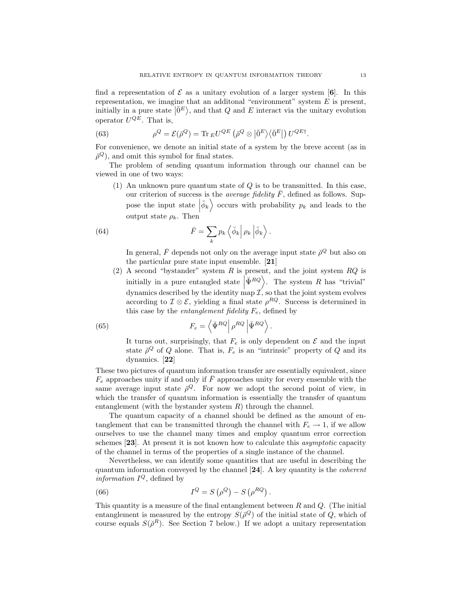find a representation of  $\mathcal E$  as a unitary evolution of a larger system [6]. In this representation, we imagine that an additional "environment" system  $E$  is present, initially in a pure state  $|\0^E\rangle$ , and that Q and E interact via the unitary evolution operator  $U^{QE}$ . That is,

(63) 
$$
\rho^Q = \mathcal{E}(\check{\rho}^Q) = \text{Tr}_E U^{QE} (\check{\rho}^Q \otimes |\check{0}^E) \langle \check{0}^E|) U^{QE\dagger}.
$$

For convenience, we denote an initial state of a system by the breve accent (as in  $\check{\rho}^Q$ ), and omit this symbol for final states.

The problem of sending quantum information through our channel can be viewed in one of two ways:

(1) An unknown pure quantum state of  $Q$  is to be transmitted. In this case, our criterion of success is the *average fidelity*  $\bar{F}$ , defined as follows. Suppose the input state  $|\phi_k\rangle$  occurs with probability  $p_k$  and leads to the output state  $\rho_k$ . Then

(64) 
$$
\bar{F} = \sum_{k} p_{k} \left\langle \check{\phi}_{k} \right| \rho_{k} \left| \check{\phi}_{k} \right\rangle.
$$

In general,  $\bar{F}$  depends not only on the average input state  $\breve{\rho}^Q$  but also on the particular pure state input ensemble. [21]

(2) A second "bystander" system  $R$  is present, and the joint system  $RQ$  is initially in a pure entangled state  $|\check{\Psi}^{RQ}\rangle$ . The system R has "trivial" dynamics described by the identity map  $\mathcal{I}'$ , so that the joint system evolves according to  $\mathcal{I} \otimes \mathcal{E}$ , yielding a final state  $\rho^{RQ}$ . Success is determined in this case by the *entanglement fidelity*  $F_e$ , defined by

(65) 
$$
F_e = \left\langle \check{\Psi}^{RQ} \middle| \rho^{RQ} \middle| \check{\Psi}^{RQ} \right\rangle.
$$

It turns out, surprisingly, that  $F_e$  is only dependent on  $\mathcal E$  and the input state  $\check{\rho}^Q$  of Q alone. That is,  $F_e$  is an "intrinsic" property of Q and its dynamics. [22]

These two pictures of quantum information transfer are essentially equivalent, since  $F_e$  approaches unity if and only if F approaches unity for every ensemble with the same average input state  $\tilde{\rho}^Q$ . For now we adopt the second point of view, in which the transfer of quantum information is essentially the transfer of quantum entanglement (with the bystander system  $R$ ) through the channel.

The quantum capacity of a channel should be defined as the amount of entanglement that can be transmitted through the channel with  $F_e \rightarrow 1$ , if we allow ourselves to use the channel many times and employ quantum error correction schemes [23]. At present it is not known how to calculate this *asymptotic* capacity of the channel in terms of the properties of a single instance of the channel.

Nevertheless, we can identify some quantities that are useful in describing the quantum information conveyed by the channel  $[24]$ . A key quantity is the *coherent* information  $I^Q$ , defined by

(66) 
$$
I^Q = S(\rho^Q) - S(\rho^{RQ}).
$$

This quantity is a measure of the final entanglement between  $R$  and  $Q$ . (The initial entanglement is measured by the entropy  $S(\check{\rho}^Q)$  of the initial state of Q, which of course equals  $S(\check{\rho}^R)$ . See Section 7 below.) If we adopt a unitary representation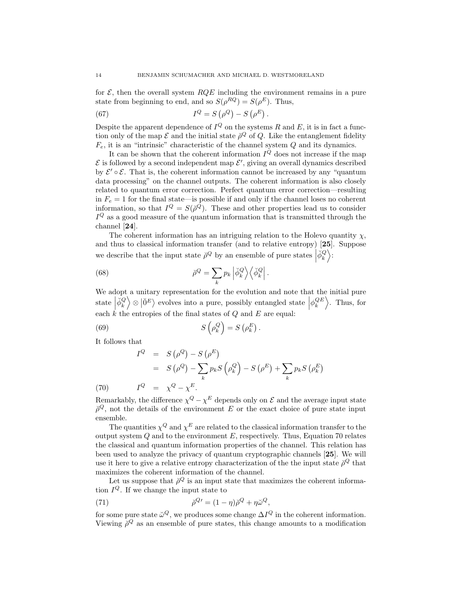for  $\mathcal{E}$ , then the overall system  $RQE$  including the environment remains in a pure state from beginning to end, and so  $S(\rho^{RQ}) = S(\rho^{E})$ . Thus,

(67) 
$$
I^{Q} = S(\rho^{Q}) - S(\rho^{E}).
$$

Despite the apparent dependence of  $I^Q$  on the systems R and E, it is in fact a function only of the map  $\mathcal E$  and the initial state  $\check{\rho}^Q$  of  $Q$ . Like the entanglement fidelity  $F_e$ , it is an "intrinsic" characteristic of the channel system  $Q$  and its dynamics.

It can be shown that the coherent information  $I^Q$  does not increase if the map  $\mathcal E$  is followed by a second independent map  $\mathcal E'$ , giving an overall dynamics described by  $\mathcal{E}' \circ \mathcal{E}$ . That is, the coherent information cannot be increased by any "quantum data processing" on the channel outputs. The coherent information is also closely related to quantum error correction. Perfect quantum error correction—resulting in  $F_e = 1$  for the final state—is possible if and only if the channel loses no coherent information, so that  $I^Q = S(\check{\rho}^Q)$ . These and other properties lead us to consider  $I<sup>Q</sup>$  as a good measure of the quantum information that is transmitted through the channel [24].

The coherent information has an intriguing relation to the Holevo quantity  $\chi$ , and thus to classical information transfer (and to relative entropy) [25]. Suppose we describe that the input state  $\check{\rho}^Q$  by an ensemble of pure states  $\left|\check{\phi}_k^Q\right\rangle$ :

(68) 
$$
\breve{\rho}^Q = \sum_k p_k \left| \breve{\phi}_k^Q \right> \left< \breve{\phi}_k^Q \right|.
$$

We adopt a unitary representation for the evolution and note that the initial pure state  $\left|\check{\phi}_k^Q\right> \otimes \left|\check{0}^E\right>$  evolves into a pure, possibly entangled state  $\left|\phi_k^{QE}\right>$ . Thus, for each  $k$  the entropies of the final states of  $Q$  and  $E$  are equal:

(69) 
$$
S\left(\rho_k^Q\right) = S\left(\rho_k^E\right).
$$

It follows that

$$
I^{Q} = S(\rho^{Q}) - S(\rho^{E})
$$
  
=  $S(\rho^{Q}) - \sum_{k} p_{k} S(\rho_{k}^{Q}) - S(\rho^{E}) + \sum_{k} p_{k} S(\rho_{k}^{E})$   
(70)  $I^{Q} = \chi^{Q} - \chi^{E}$ .

Remarkably, the difference  $\chi^Q - \chi^E$  depends only on  $\mathcal E$  and the average input state  $\check{\rho}^Q$ , not the details of the environment E or the exact choice of pure state input ensemble.

The quantities  $\chi^Q$  and  $\chi^E$  are related to the classical information transfer to the output system  $Q$  and to the environment  $E$ , respectively. Thus, Equation 70 relates the classical and quantum information properties of the channel. This relation has been used to analyze the privacy of quantum cryptographic channels [25]. We will use it here to give a relative entropy characterization of the the input state  $\tilde{\rho}^Q$  that maximizes the coherent information of the channel.

Let us suppose that  $\check{\rho}^Q$  is an input state that maximizes the coherent information  $I^{Q}$ . If we change the input state to

(71) 
$$
\breve{\rho}^{Q} = (1 - \eta)\breve{\rho}^{Q} + \eta \breve{\omega}^{Q},
$$

for some pure state  $\ddot{\omega}^Q$ , we produces some change  $\Delta I^Q$  in the coherent information. Viewing  $\tilde{\rho}^Q$  as an ensemble of pure states, this change amounts to a modification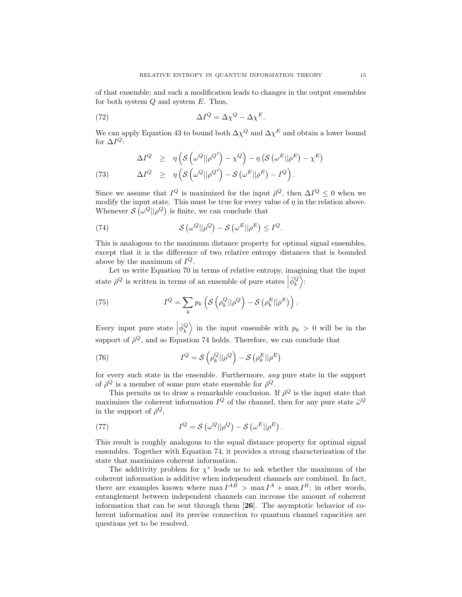of that ensemble; and such a modification leads to changes in the output ensembles for both system  $Q$  and system  $E$ . Thus,

(72) 
$$
\Delta I^{Q} = \Delta \chi^{Q} - \Delta \chi^{E}.
$$

We can apply Equation 43 to bound both  $\Delta \chi^Q$  and  $\Delta \chi^E$  and obtain a lower bound for  $\Delta I^{Q}$ :

(73) 
$$
\Delta I^{Q} \geq \eta \left( S \left( \omega^{Q} || \rho^{Q'} \right) - \chi^{Q} \right) - \eta \left( S \left( \omega^{E} || \rho^{E} \right) - \chi^{E} \right) \Delta I^{Q} \geq \eta \left( S \left( \omega^{Q} || \rho^{Q'} \right) - S \left( \omega^{E} || \rho^{E} \right) - I^{Q} \right).
$$

Since we assume that  $I^Q$  is maximized for the input  $\breve{\rho}^Q$ , then  $\Delta I^Q \leq 0$  when we modify the input state. This must be true for every value of  $\eta$  in the relation above. Whenever  $\mathcal{S}(\omega^Q||\rho^Q)$  is finite, we can conclude that

(74) 
$$
\mathcal{S}(\omega^Q||\rho^Q) - \mathcal{S}(\omega^E||\rho^E) \leq I^Q.
$$

This is analogous to the maximum distance property for optimal signal ensembles, except that it is the difference of two relative entropy distances that is bounded above by the maximum of  $I^{Q}$ .

Let us write Equation 70 in terms of relative entropy, imagining that the input state  $\phi^Q$  is written in terms of an ensemble of pure states  $|\check{\phi}_k^Q\rangle$ :

(75) 
$$
I^{Q} = \sum_{k} p_{k} \left( \mathcal{S} \left( \rho_{k}^{Q} || \rho^{Q} \right) - \mathcal{S} \left( \rho_{k}^{E} || \rho^{E} \right) \right).
$$

Every input pure state  $\begin{vmatrix} \breve{\phi}_k^Q \end{vmatrix}$  in the input ensemble with  $p_k > 0$  will be in the support of  $\check{\rho}^Q$ , and so Equation 74 holds. Therefore, we can conclude that

(76) 
$$
I^{Q} = \mathcal{S}\left(\rho_k^{Q}||\rho^{Q}\right) - \mathcal{S}\left(\rho_k^{E}||\rho^{E}\right)
$$

for every such state in the ensemble. Furthermore, any pure state in the support of  $\check{\rho}^Q$  is a member of some pure state ensemble for  $\check{\rho}^Q$ .

This permits us to draw a remarkable conclusion. If  $\tilde{\rho}^Q$  is the input state that maximizes the coherent information  $I^Q$  of the channel, then for any pure state  $\ddot{\omega}^Q$ in the support of  $\check{\rho}^Q$ ,

(77) 
$$
I^{Q} = \mathcal{S} \left( \omega^{Q} || \rho^{Q} \right) - \mathcal{S} \left( \omega^{E} || \rho^{E} \right).
$$

This result is roughly analogous to the equal distance property for optimal signal ensembles. Together with Equation 74, it provides a strong characterization of the state that maximizes coherent information.

The additivity problem for  $\chi^*$  leads us to ask whether the maximum of the coherent information is additive when independent channels are combined. In fact, there are examples known where  $\max I^{AB} > \max I^A + \max I^B$ ; in other words, entanglement between independent channels can increase the amount of coherent information that can be sent through them [26]. The asymptotic behavior of coherent information and its precise connection to quantum channel capacities are questions yet to be resolved.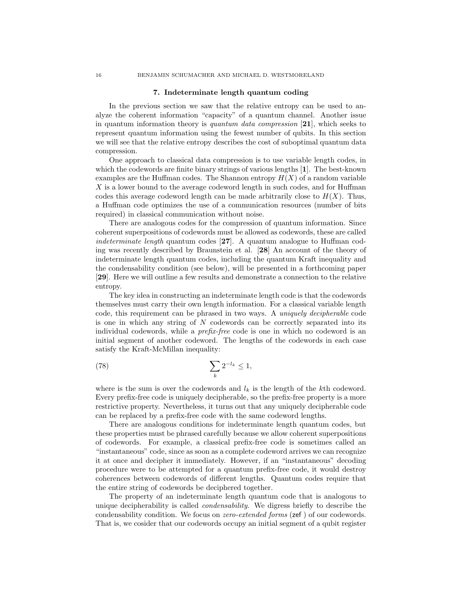#### 7. Indeterminate length quantum coding

In the previous section we saw that the relative entropy can be used to analyze the coherent information "capacity" of a quantum channel. Another issue in quantum information theory is quantum data compression [21], which seeks to represent quantum information using the fewest number of qubits. In this section we will see that the relative entropy describes the cost of suboptimal quantum data compression.

One approach to classical data compression is to use variable length codes, in which the codewords are finite binary strings of various lengths [1]. The best-known examples are the Huffman codes. The Shannon entropy  $H(X)$  of a random variable X is a lower bound to the average codeword length in such codes, and for Huffman codes this average codeword length can be made arbitrarily close to  $H(X)$ . Thus, a Huffman code optimizes the use of a communication resources (number of bits required) in classical communication without noise.

There are analogous codes for the compression of quantum information. Since coherent superpositions of codewords must be allowed as codewords, these are called indeterminate length quantum codes  $[27]$ . A quantum analogue to Huffman coding was recently described by Braunstein et al. [28] An account of the theory of indeterminate length quantum codes, including the quantum Kraft inequality and the condensability condition (see below), will be presented in a forthcoming paper [29]. Here we will outline a few results and demonstrate a connection to the relative entropy.

The key idea in constructing an indeterminate length code is that the codewords themselves must carry their own length information. For a classical variable length code, this requirement can be phrased in two ways. A uniquely decipherable code is one in which any string of  $N$  codewords can be correctly separated into its individual codewords, while a prefix-free code is one in which no codeword is an initial segment of another codeword. The lengths of the codewords in each case satisfy the Kraft-McMillan inequality:

$$
\sum_{k} 2^{-l_k} \le 1,
$$

where is the sum is over the codewords and  $l_k$  is the length of the kth codeword. Every prefix-free code is uniquely decipherable, so the prefix-free property is a more restrictive property. Nevertheless, it turns out that any uniquely decipherable code can be replaced by a prefix-free code with the same codeword lengths.

There are analogous conditions for indeterminate length quantum codes, but these properties must be phrased carefully because we allow coherent superpositions of codewords. For example, a classical prefix-free code is sometimes called an "instantaneous" code, since as soon as a complete codeword arrives we can recognize it at once and decipher it immediately. However, if an "instantaneous" decoding procedure were to be attempted for a quantum prefix-free code, it would destroy coherences between codewords of different lengths. Quantum codes require that the entire string of codewords be deciphered together.

The property of an indeterminate length quantum code that is analogous to unique decipherability is called *condensability*. We digress briefly to describe the condensability condition. We focus on zero-extended forms (zef ) of our codewords. That is, we cosider that our codewords occupy an initial segment of a qubit register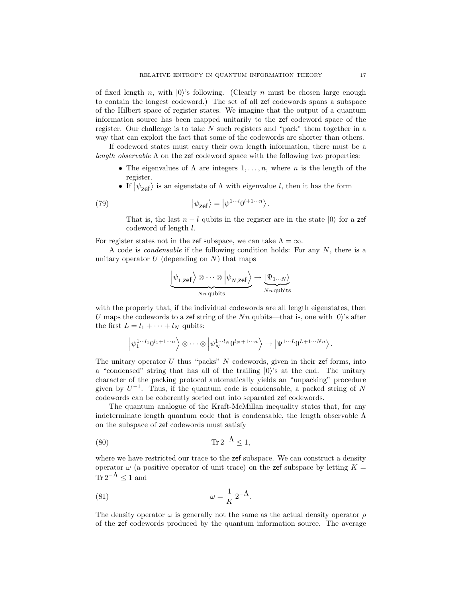of fixed length n, with  $|0\rangle$ 's following. (Clearly n must be chosen large enough to contain the longest codeword.) The set of all zef codewords spans a subspace of the Hilbert space of register states. We imagine that the output of a quantum information source has been mapped unitarily to the zef codeword space of the register. Our challenge is to take N such registers and "pack" them together in a way that can exploit the fact that some of the codewords are shorter than others.

If codeword states must carry their own length information, there must be a *length observable*  $\Lambda$  on the zef codeword space with the following two properties:

- The eigenvalues of  $\Lambda$  are integers  $1, \ldots, n$ , where n is the length of the register.
- If  $|\psi_{\text{zef}}\rangle$  is an eigenstate of  $\Lambda$  with eigenvalue l, then it has the form

(79) 
$$
\left|\psi_{\mathsf{zef}}\right\rangle = \left|\psi^{1\cdots l}0^{l+1\cdots n}\right\rangle.
$$

That is, the last  $n - l$  qubits in the register are in the state  $|0\rangle$  for a zef codeword of length l.

For register states not in the zef subspace, we can take  $\Lambda = \infty$ .

A code is *condensable* if the following condition holds: For any  $N$ , there is a unitary operator  $U$  (depending on  $N$ ) that maps

$$
\underbrace{\left|\psi_{1,\text{zef}}\right\rangle \otimes \cdots \otimes \left|\psi_{N,\text{zef}}\right\rangle}_{Nn \text{ qubits}} \rightarrow \underbrace{\left|\Psi_{1\cdots N}\right\rangle}_{Nn \text{ qubits}}
$$

with the property that, if the individual codewords are all length eigenstates, then U maps the codewords to a zef string of the Nn qubits—that is, one with  $|0\rangle$ 's after the first  $L = l_1 + \cdots + l_N$  qubits:

$$
\left|\psi_1^{1\cdots l_1}0^{l_1+1\cdots n}\right\rangle\otimes\cdots\otimes\left|\psi_N^{1\cdots l_N}0^{l_N+1\cdots n}\right\rangle\rightarrow\left|\Psi^{1\cdots L}0^{L+1\cdots Nn}\right\rangle.
$$

The unitary operator  $U$  thus "packs"  $N$  codewords, given in their zef forms, into a "condensed" string that has all of the trailing  $|0\rangle$ "s at the end. The unitary character of the packing protocol automatically yields an "unpacking" procedure given by  $U^{-1}$ . Thus, if the quantum code is condensable, a packed string of N codewords can be coherently sorted out into separated zef codewords.

The quantum analogue of the Kraft-McMillan inequality states that, for any indeterminate length quantum code that is condensable, the length observable  $\Lambda$ on the subspace of zef codewords must satisfy

$$
(80) \t\t \t Tr 2^{-\Lambda} \le 1,
$$

where we have restricted our trace to the zef subspace. We can construct a density operator  $\omega$  (a positive operator of unit trace) on the zef subspace by letting  $K =$  $\text{Tr } 2^{-\Lambda} < 1$  and

(81) 
$$
\omega = \frac{1}{K} 2^{-\Lambda}.
$$

The density operator  $\omega$  is generally not the same as the actual density operator  $\rho$ of the zef codewords produced by the quantum information source. The average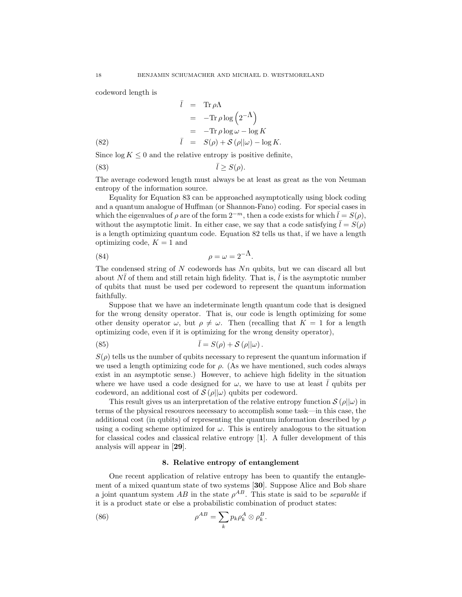codeword length is

(82) 
$$
\bar{l} = \text{Tr} \rho \Lambda \n= -\text{Tr} \rho \log (2^{-\Lambda}) \n= -\text{Tr} \rho \log \omega - \log K \n\bar{l} = S(\rho) + S(\rho || \omega) - \log K.
$$

Since  $\log K \leq 0$  and the relative entropy is positive definite,

$$
\bar{l} \ge S(\rho).
$$
 (83)

The average codeword length must always be at least as great as the von Neuman entropy of the information source.

Equality for Equation 83 can be approached asymptotically using block coding and a quantum analogue of Huffman (or Shannon-Fano) coding. For special cases in which the eigenvalues of  $\rho$  are of the form  $2^{-m}$ , then a code exists for which  $\bar{l} = S(\rho)$ , without the asymptotic limit. In either case, we say that a code satisfying  $l = S(\rho)$ is a length optimizing quantum code. Equation 82 tells us that, if we have a length optimizing code,  $K = 1$  and

$$
\rho = \omega = 2^{-\Lambda}.
$$

The condensed string of  $N$  codewords has  $Nn$  qubits, but we can discard all but about N $\overline{l}$  of them and still retain high fidelity. That is,  $\overline{l}$  is the asymptotic number of qubits that must be used per codeword to represent the quantum information faithfully.

Suppose that we have an indeterminate length quantum code that is designed for the wrong density operator. That is, our code is length optimizing for some other density operator  $\omega$ , but  $\rho \neq \omega$ . Then (recalling that  $K = 1$  for a length optimizing code, even if it is optimizing for the wrong density operator),

(85) 
$$
\bar{l} = S(\rho) + S(\rho||\omega).
$$

 $S(\rho)$  tells us the number of qubits necessary to represent the quantum information if we used a length optimizing code for  $\rho$ . (As we have mentioned, such codes always exist in an asymptotic sense.) However, to achieve high fidelity in the situation where we have used a code designed for  $\omega$ , we have to use at least l qubits per codeword, an additional cost of  $S(\rho||\omega)$  qubits per codeword.

This result gives us an interpretation of the relative entropy function  $\mathcal{S}(\rho||\omega)$  in terms of the physical resources necessary to accomplish some task—in this case, the additional cost (in qubits) of representing the quantum information described by  $\rho$ using a coding scheme optimized for  $\omega$ . This is entirely analogous to the situation for classical codes and classical relative entropy [1]. A fuller development of this analysis will appear in [29].

### 8. Relative entropy of entanglement

One recent application of relative entropy has been to quantify the entanglement of a mixed quantum state of two systems [30]. Suppose Alice and Bob share a joint quantum system AB in the state  $\rho^{AB}$ . This state is said to be *separable* if it is a product state or else a probabilistic combination of product states:

.

(86) 
$$
\rho^{AB} = \sum_{k} p_{k} \rho_{k}^{A} \otimes \rho_{k}^{B}
$$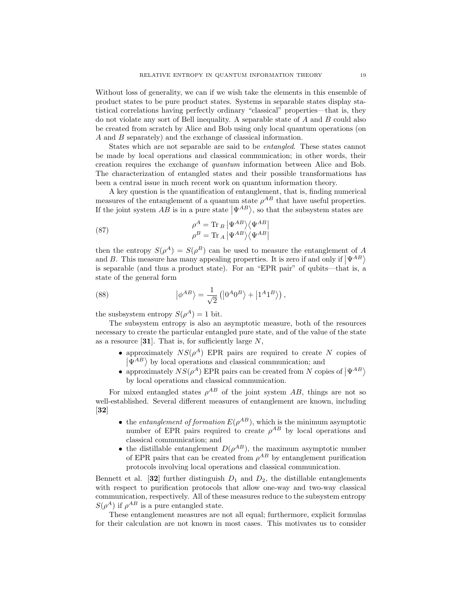Without loss of generality, we can if we wish take the elements in this ensemble of product states to be pure product states. Systems in separable states display statistical correlations having perfectly ordinary "classical" properties—that is, they do not violate any sort of Bell inequality. A separable state of A and B could also be created from scratch by Alice and Bob using only local quantum operations (on A and B separately) and the exchange of classical information.

States which are not separable are said to be entangled. These states cannot be made by local operations and classical communication; in other words, their creation requires the exchange of quantum information between Alice and Bob. The characterization of entangled states and their possible transformations has been a central issue in much recent work on quantum information theory.

A key question is the quantification of entanglement, that is, finding numerical measures of the entanglement of a quantum state  $\rho^{AB}$  that have useful properties. If the joint system  $AB$  is in a pure state  $|\Psi^{AB}\rangle$ , so that the subsystem states are

(87) 
$$
\rho^{A} = \text{Tr}_{B} \left| \Psi^{AB} \right\rangle \left\langle \Psi^{AB} \right| \n\rho^{B} = \text{Tr}_{A} \left| \Psi^{AB} \right\rangle \left\langle \Psi^{AB} \right|
$$

then the entropy  $S(\rho^A) = S(\rho^B)$  can be used to measure the entanglement of A and B. This measure has many appealing properties. It is zero if and only if  $|\Psi^{AB}\rangle$ is separable (and thus a product state). For an "EPR pair" of qubits—that is, a state of the general form

(88) 
$$
\left| \phi^{AB} \right\rangle = \frac{1}{\sqrt{2}} \left( \left| 0^A 0^B \right\rangle + \left| 1^A 1^B \right\rangle \right),
$$

the susbsystem entropy  $S(\rho^A) = 1$  bit.

The subsystem entropy is also an asymptotic measure, both of the resources necessary to create the particular entangled pure state, and of the value of the state as a resource  $[31]$ . That is, for sufficiently large N,

- approximately  $NS(\rho^A)$  EPR pairs are required to create N copies of  $|\Psi^{AB}\rangle$  by local operations and classical communication; and
- approximately  $NS(\rho^A)$  EPR pairs can be created from N copies of  $|\Psi^{AB}\rangle$ by local operations and classical communication.

For mixed entangled states  $\rho^{AB}$  of the joint system AB, things are not so well-established. Several different measures of entanglement are known, including [32]

- the entanglement of formation  $E(\rho^{AB})$ , which is the minimum asymptotic number of EPR pairs required to create  $\rho^{AB}$  by local operations and classical communication; and
- the distillable entanglement  $D(\rho^{AB})$ , the maximum asymptotic number of EPR pairs that can be created from  $\rho^{AB}$  by entanglement purification protocols involving local operations and classical communication.

Bennett et al. [32] further distinguish  $D_1$  and  $D_2$ , the distillable entanglements with respect to purification protocols that allow one-way and two-way classical communication, respectively. All of these measures reduce to the subsystem entropy  $S(\rho^A)$  if  $\rho^{AB}$  is a pure entangled state.

These entanglement measures are not all equal; furthermore, explicit formulas for their calculation are not known in most cases. This motivates us to consider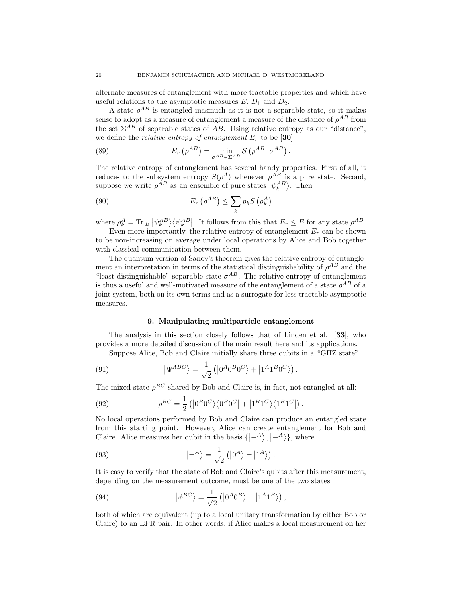alternate measures of entanglement with more tractable properties and which have useful relations to the asymptotic measures  $E, D_1$  and  $D_2$ .

A state  $\rho^{AB}$  is entangled inasmuch as it is not a separable state, so it makes sense to adopt as a measure of entanglement a measure of the distance of  $\rho^{AB}$  from the set  $\Sigma^{AB}$  of separable states of AB. Using relative entropy as our "distance", we define the *relative entropy of entanglement*  $E_r$  to be [30]

(89) 
$$
E_r\left(\rho^{AB}\right) = \min_{\sigma^{AB} \in \Sigma^{AB}} \mathcal{S}\left(\rho^{AB}||\sigma^{AB}\right).
$$

The relative entropy of entanglement has several handy properties. First of all, it reduces to the subsystem entropy  $S(\rho^A)$  whenever  $\rho^{AB}$  is a pure state. Second, suppose we write  $\rho^{AB}$  as an ensemble of pure states  $|\psi_k^{AB}\rangle$ . Then

(90) 
$$
E_r\left(\rho^{AB}\right) \leq \sum_k p_k S\left(\rho_k^A\right)
$$

where  $\rho_k^A = \text{Tr}_B |\psi_k^{AB}\rangle \langle \psi_k^{AB}|$ . It follows from this that  $E_r \leq E$  for any state  $\rho^{AB}$ .

Even more importantly, the relative entropy of entanglement  $E_r$  can be shown to be non-increasing on average under local operations by Alice and Bob together with classical communication between them.

The quantum version of Sanov's theorem gives the relative entropy of entanglement an interpretation in terms of the statistical distinguishability of  $\rho^{AB}$  and the "least distinguishable" separable state  $\sigma^{AB}$ . The relative entropy of entanglement is thus a useful and well-motivated measure of the entanglement of a state  $\rho^{AB}$  of a joint system, both on its own terms and as a surrogate for less tractable asymptotic measures.

### 9. Manipulating multiparticle entanglement

The analysis in this section closely follows that of Linden et al. [33], who provides a more detailed discussion of the main result here and its applications.

Suppose Alice, Bob and Claire initially share three qubits in a "GHZ state"

(91) 
$$
\left|\Psi^{ABC}\right\rangle = \frac{1}{\sqrt{2}}\left(\left|0^A 0^B 0^C\right\rangle + \left|1^A 1^B 0^C\right\rangle\right).
$$

The mixed state  $\rho^{BC}$  shared by Bob and Claire is, in fact, not entangled at all:

(92) 
$$
\rho^{BC} = \frac{1}{2} (|0^B 0^C \rangle \langle 0^B 0^C | + |1^B 1^C \rangle \langle 1^B 1^C |).
$$

No local operations performed by Bob and Claire can produce an entangled state from this starting point. However, Alice can create entanglement for Bob and Claire. Alice measures her qubit in the basis  $\{\ket{+^A}, \ket{-^A}\}$ , where

(93) 
$$
|\pm^A\rangle = \frac{1}{\sqrt{2}} (|0^A\rangle \pm |1^A\rangle).
$$

It is easy to verify that the state of Bob and Claire's qubits after this measurement, depending on the measurement outcome, must be one of the two states

(94) 
$$
\left| \phi_{\pm}^{BC} \right\rangle = \frac{1}{\sqrt{2}} \left( \left| 0^A 0^B \right\rangle \pm \left| 1^A 1^B \right\rangle \right),
$$

both of which are equivalent (up to a local unitary transformation by either Bob or Claire) to an EPR pair. In other words, if Alice makes a local measurement on her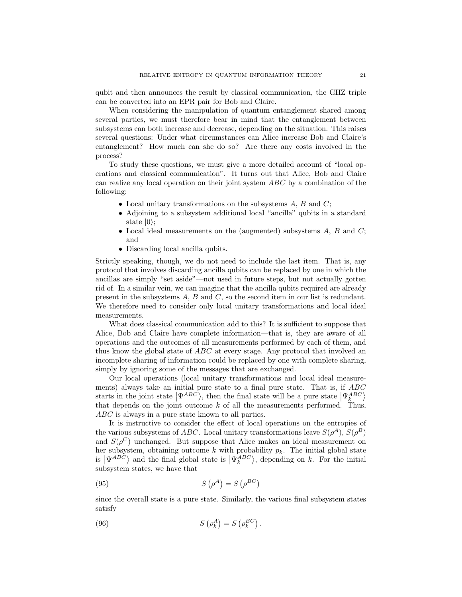qubit and then announces the result by classical communication, the GHZ triple can be converted into an EPR pair for Bob and Claire.

When considering the manipulation of quantum entanglement shared among several parties, we must therefore bear in mind that the entanglement between subsystems can both increase and decrease, depending on the situation. This raises several questions: Under what circumstances can Alice increase Bob and Claire's entanglement? How much can she do so? Are there any costs involved in the process?

To study these questions, we must give a more detailed account of "local operations and classical communication". It turns out that Alice, Bob and Claire can realize any local operation on their joint system ABC by a combination of the following:

- Local unitary transformations on the subsystems  $A, B$  and  $C$ ;
- Adjoining to a subsystem additional local "ancilla" qubits in a standard state  $|0\rangle$ ;
- Local ideal measurements on the (augmented) subsystems  $A, B$  and  $C$ ; and
- Discarding local ancilla qubits.

Strictly speaking, though, we do not need to include the last item. That is, any protocol that involves discarding ancilla qubits can be replaced by one in which the ancillas are simply "set aside"—not used in future steps, but not actually gotten rid of. In a similar vein, we can imagine that the ancilla qubits required are already present in the subsystems  $A, B$  and  $C$ , so the second item in our list is redundant. We therefore need to consider only local unitary transformations and local ideal measurements.

What does classical communication add to this? It is sufficient to suppose that Alice, Bob and Claire have complete information—that is, they are aware of all operations and the outcomes of all measurements performed by each of them, and thus know the global state of ABC at every stage. Any protocol that involved an incomplete sharing of information could be replaced by one with complete sharing, simply by ignoring some of the messages that are exchanged.

Our local operations (local unitary transformations and local ideal measurements) always take an initial pure state to a final pure state. That is, if  $ABC$ starts in the joint state  $|\Psi^{ABC}\rangle$ , then the final state will be a pure state  $|\Psi_k^{ABC}\rangle$ that depends on the joint outcome  $k$  of all the measurements performed. Thus, ABC is always in a pure state known to all parties.

It is instructive to consider the effect of local operations on the entropies of the various subsystems of ABC. Local unitary transformations leave  $S(\rho^A)$ ,  $S(\rho^B)$ and  $S(\rho^C)$  unchanged. But suppose that Alice makes an ideal measurement on her subsystem, obtaining outcome k with probability  $p_k$ . The initial global state is  $|\Psi^{ABC}\rangle$  and the final global state is  $|\Psi_k^{ABC}\rangle$ , depending on k. For the initial subsystem states, we have that

$$
(95) \tS(\rho^A) = S(\rho^{BC})
$$

since the overall state is a pure state. Similarly, the various final subsystem states satisfy

(96) 
$$
S\left(\rho_k^A\right) = S\left(\rho_k^{BC}\right).
$$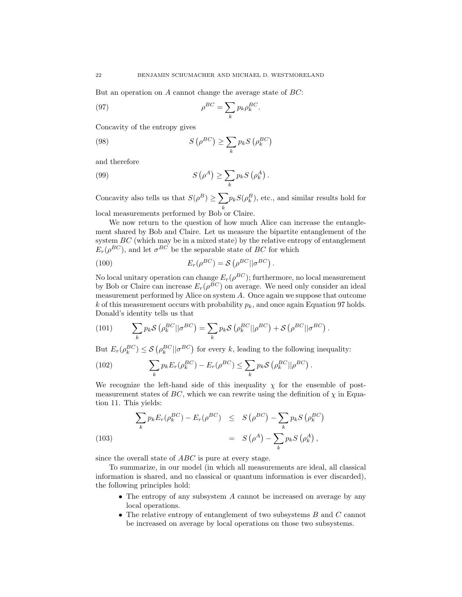But an operation on A cannot change the average state of  $BC$ :

(97) 
$$
\rho^{BC} = \sum_{k} p_k \rho_k^{BC}.
$$

Concavity of the entropy gives

(98) 
$$
S\left(\rho^{BC}\right) \ge \sum_{k} p_k S\left(\rho_k^{BC}\right)
$$

and therefore

(99) 
$$
S(\rho^A) \ge \sum_k p_k S(\rho_k^A)
$$

Concavity also tells us that  $S(\rho^B) \geq \sum$ k  $p_k S(\rho_k^B)$ , etc., and similar results hold for local measurements performed by Bob or Claire.

.

We now return to the question of how much Alice can increase the entanglement shared by Bob and Claire. Let us measure the bipartite entanglement of the system  $BC$  (which may be in a mixed state) by the relative entropy of entanglement  $E_r(\rho^{BC})$ , and let  $\sigma^{BC}$  be the separable state of BC for which

(100) 
$$
E_r(\rho^{BC}) = \mathcal{S}(\rho^{BC}||\sigma^{BC}).
$$

No local unitary operation can change  $E_r(\rho^{BC})$ ; furthermore, no local measurement by Bob or Claire can increase  $E_r(\rho^{BC})$  on average. We need only consider an ideal measurement performed by Alice on system A. Once again we suppose that outcome k of this measurement occurs with probability  $p_k$ , and once again Equation 97 holds. Donald's identity tells us that

(101) 
$$
\sum_{k} p_{k} \mathcal{S} \left( \rho_{k}^{BC} || \sigma^{BC} \right) = \sum_{k} p_{k} \mathcal{S} \left( \rho_{k}^{BC} || \rho^{BC} \right) + \mathcal{S} \left( \rho^{BC} || \sigma^{BC} \right).
$$

But  $E_r(\rho_k^{BC}) \leq \mathcal{S}(\rho_k^{BC}||\sigma^{BC})$  for every k, leading to the following inequality:

(102) 
$$
\sum_{k} p_{k} E_{r}(\rho_{k}^{BC}) - E_{r}(\rho^{BC}) \leq \sum_{k} p_{k} \mathcal{S}(\rho_{k}^{BC}||\rho^{BC}).
$$

We recognize the left-hand side of this inequality  $\chi$  for the ensemble of postmeasurement states of  $BC$ , which we can rewrite using the definition of  $\chi$  in Equation 11. This yields:

(103) 
$$
\sum_{k} p_{k} E_{r}(\rho_{k}^{BC}) - E_{r}(\rho^{BC}) \leq S(\rho^{BC}) - \sum_{k} p_{k} S(\rho_{k}^{BC})
$$

$$
= S(\rho^{A}) - \sum_{k} p_{k} S(\rho_{k}^{A}),
$$

since the overall state of ABC is pure at every stage.

To summarize, in our model (in which all measurements are ideal, all classical information is shared, and no classical or quantum information is ever discarded), the following principles hold:

- The entropy of any subsystem A cannot be increased on average by any local operations.
- The relative entropy of entanglement of two subsystems  $B$  and  $C$  cannot be increased on average by local operations on those two subsystems.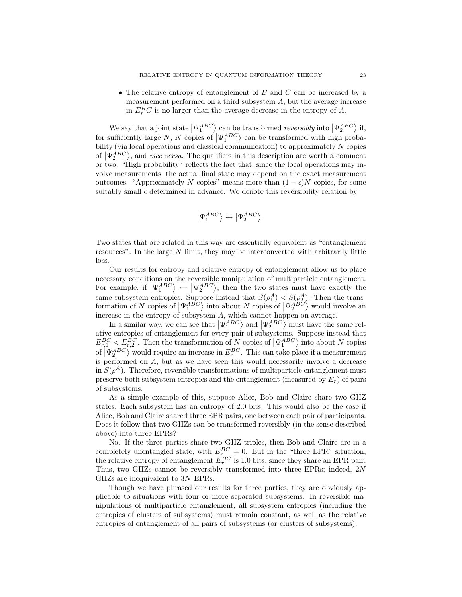• The relative entropy of entanglement of  $B$  and  $C$  can be increased by a measurement performed on a third subsystem A, but the average increase in  $E_r^B C$  is no larger than the average decrease in the entropy of A.

We say that a joint state  $|\Psi_1^{ABC}\rangle$  can be transformed *reversibly* into  $|\Psi_2^{ABC}\rangle$  if, for sufficiently large N, N copies of  $|\Psi_1^{ABC}\rangle$  can be transformed with high probability (via local operations and classical communication) to approximately  $N$  copies of  $|\Psi_2^{ABC}\rangle$ , and *vice versa*. The qualifiers in this description are worth a comment or two. "High probability" reflects the fact that, since the local operations may involve measurements, the actual final state may depend on the exact measurement outcomes. "Approximately N copies" means more than  $(1 - \epsilon)N$  copies, for some suitably small  $\epsilon$  determined in advance. We denote this reversibility relation by

$$
\left|\Psi_1^{ABC}\right\rangle \leftrightarrow \left|\Psi_2^{ABC}\right\rangle.
$$

Two states that are related in this way are essentially equivalent as "entanglement resources". In the large  $N$  limit, they may be interconverted with arbitrarily little loss.

Our results for entropy and relative entropy of entanglement allow us to place necessary conditions on the reversible manipulation of multiparticle entanglement. For example, if  $|\Psi_1^{ABC}\rangle \leftrightarrow |\Psi_2^{ABC}\rangle$ , then the two states must have exactly the same subsystem entropies. Suppose instead that  $S(\rho_1^A) < S(\rho_2^A)$ . Then the transformation of N copies of  $|\Psi_1^{ABC}\rangle$  into about N copies of  $|\Psi_2^{ABC}\rangle$  would involve an increase in the entropy of subsystem A, which cannot happen on average.

In a similar way, we can see that  $|\Psi_1^{ABC}\rangle$  and  $|\Psi_2^{ABC}\rangle$  must have the same relative entropies of entanglement for every pair of subsystems. Suppose instead that  $E_{r,1}^{BC} < E_{r,2}^{BC}$ . Then the transformation of N copies of  $|\Psi_1^{ABC}\rangle$  into about N copies of  $|\Psi_2^{ABC}\rangle$  would require an increase in  $E_r^{BC}$ . This can take place if a measurement is performed on A, but as we have seen this would necessarily involve a decrease in  $S(\rho^A)$ . Therefore, reversible transformations of multiparticle entanglement must preserve both subsystem entropies and the entanglement (measured by  $E_r$ ) of pairs of subsystems.

As a simple example of this, suppose Alice, Bob and Claire share two GHZ states. Each subsystem has an entropy of 2.0 bits. This would also be the case if Alice, Bob and Claire shared three EPR pairs, one between each pair of participants. Does it follow that two GHZs can be transformed reversibly (in the sense described above) into three EPRs?

No. If the three parties share two GHZ triples, then Bob and Claire are in a completely unentangled state, with  $E_{r}^{BC} = 0$ . But in the "three EPR" situation, the relative entropy of entanglement  $E_r^{BC}$  is 1.0 bits, since they share an EPR pair. Thus, two GHZs cannot be reversibly transformed into three EPRs; indeed, 2N GHZs are inequivalent to 3N EPRs.

Though we have phrased our results for three parties, they are obviously applicable to situations with four or more separated subsystems. In reversible manipulations of multiparticle entanglement, all subsystem entropies (including the entropies of clusters of subsystems) must remain constant, as well as the relative entropies of entanglement of all pairs of subsystems (or clusters of subsystems).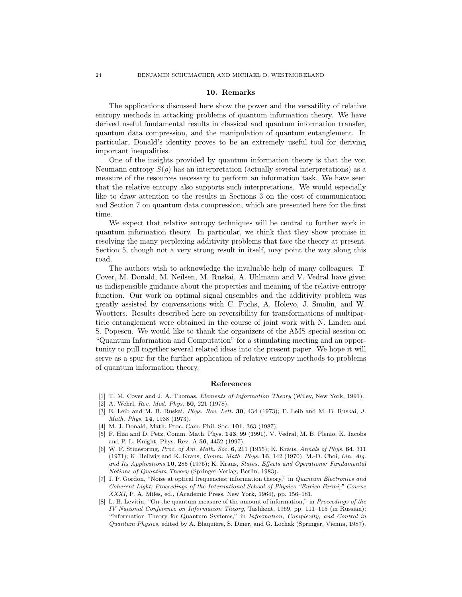#### 10. Remarks

The applications discussed here show the power and the versatility of relative entropy methods in attacking problems of quantum information theory. We have derived useful fundamental results in classical and quantum information transfer, quantum data compression, and the manipulation of quantum entanglement. In particular, Donald's identity proves to be an extremely useful tool for deriving important inequalities.

One of the insights provided by quantum information theory is that the von Neumann entropy  $S(\rho)$  has an interpretation (actually several interpretations) as a measure of the resources necessary to perform an information task. We have seen that the relative entropy also supports such interpretations. We would especially like to draw attention to the results in Sections 3 on the cost of communication and Section 7 on quantum data compression, which are presented here for the first time.

We expect that relative entropy techniques will be central to further work in quantum information theory. In particular, we think that they show promise in resolving the many perplexing additivity problems that face the theory at present. Section 5, though not a very strong result in itself, may point the way along this road.

The authors wish to acknowledge the invaluable help of many colleagues. T. Cover, M. Donald, M. Neilsen, M. Ruskai, A. Uhlmann and V. Vedral have given us indispensible guidance about the properties and meaning of the relative entropy function. Our work on optimal signal ensembles and the additivity problem was greatly assisted by conversations with C. Fuchs, A. Holevo, J. Smolin, and W. Wootters. Results described here on reversibility for transformations of multiparticle entanglement were obtained in the course of joint work with N. Linden and S. Popescu. We would like to thank the organizers of the AMS special session on "Quantum Information and Computation" for a stimulating meeting and an opportunity to pull together several related ideas into the present paper. We hope it will serve as a spur for the further application of relative entropy methods to problems of quantum information theory.

### References

- [1] T. M. Cover and J. A. Thomas, Elements of Information Theory (Wiley, New York, 1991).
- [2] A. Wehrl, Rev. Mod. Phys. **50**, 221 (1978).
- [3] E. Leib and M. B. Ruskai, Phys. Rev. Lett. 30, 434 (1973); E. Leib and M. B. Ruskai, J. Math. Phys. 14, 1938 (1973).
- [4] M. J. Donald, Math. Proc. Cam. Phil. Soc. **101**, 363 (1987).
- [5] F. Hiai and D. Petz, Comm. Math. Phys. 143, 99 (1991). V. Vedral, M. B. Plenio, K. Jacobs and P. L. Knight, Phys. Rev. A 56, 4452 (1997).
- [6] W. F. Stinespring, Proc. of Am. Math. Soc. 6, 211 (1955); K. Kraus, Annals of Phys. 64, 311 (1971); K. Hellwig and K. Kraus, Comm. Math. Phys. 16, 142 (1970); M.-D. Choi, Lin. Alg. and Its Applications 10, 285 (1975); K. Kraus, States, Effects and Operations: Fundamental Notions of Quantum Theory (Springer-Verlag, Berlin, 1983).
- [7] J. P. Gordon, "Noise at optical frequencies; information theory," in Quantum Electronics and Coherent Light; Proceedings of the International School of Physics "Enrico Fermi," Course XXXI, P. A. Miles, ed., (Academic Press, New York, 1964), pp. 156–181.
- [8] L. B. Levitin, "On the quantum measure of the amount of information," in *Proceedings of the* IV National Conference on Information Theory, Tashkent, 1969, pp. 111–115 (in Russian); "Information Theory for Quantum Systems," in Information, Complexity, and Control in Quantum Physics, edited by A. Blaquière, S. Diner, and G. Lochak (Springer, Vienna, 1987).